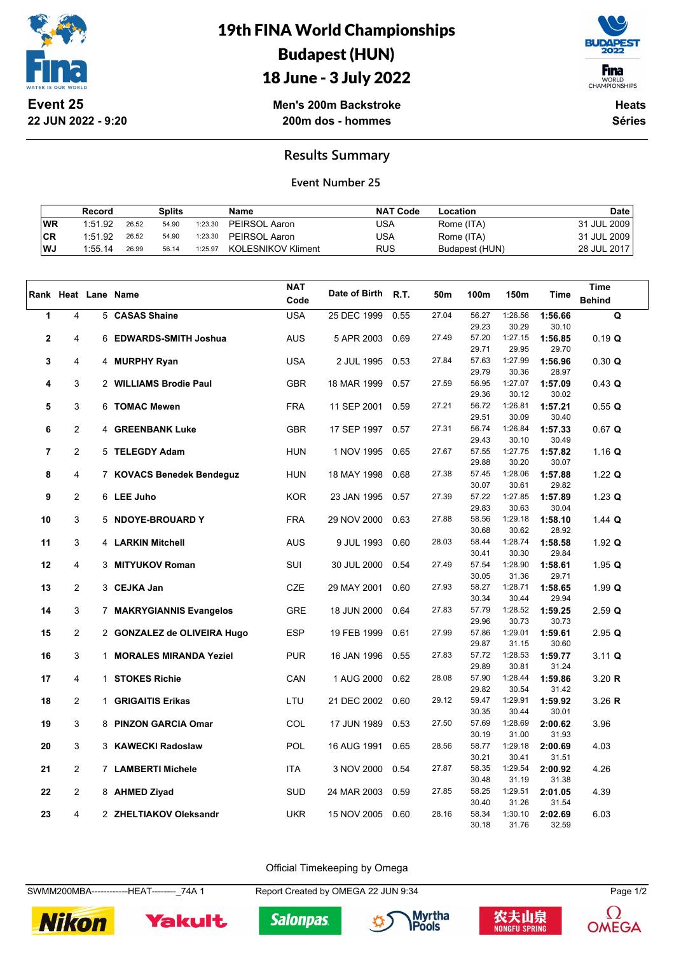

**22 JUN 2022 - 9:20**

19th FINA World Championships Budapest (HUN) 18 June - 3 July 2022



WORLD<br>CHAMPIONSHIPS

**Men's 200m Backstroke 200m dos - hommes**

**Heats Séries**

## **Results Summary**

## **Event Number 25**

|      | Record  |       | <b>Splits</b> |         | Name               | <b>NAT Code</b> | Location       | <b>Date</b> |
|------|---------|-------|---------------|---------|--------------------|-----------------|----------------|-------------|
| WR   | 1:51.92 | 26.52 | 54.90         | 1:23.30 | PEIRSOL Aaron      | USA             | Rome (ITA)     | 31 JUL 2009 |
| ∣CR  | 1:51.92 | 26.52 | 54.90         | 1:23.30 | PEIRSOL Aaron      | USA             | Rome (ITA)     | 31 JUL 2009 |
| l WJ | 1:55.14 | 26.99 | 56.14         | 1:25.97 | KOLESNIKOV Kliment | <b>RUS</b>      | Budapest (HUN) | 28 JUL 2017 |

|              |                |                             | <b>NAT</b> | Date of Birth |      |       |                |                  |                  | Time              |
|--------------|----------------|-----------------------------|------------|---------------|------|-------|----------------|------------------|------------------|-------------------|
|              |                | Rank Heat Lane Name         | Code       |               | R.T. | 50m   | 100m           | 150m             | Time             | <b>Behind</b>     |
| 1            | 4              | 5 CASAS Shaine              | <b>USA</b> | 25 DEC 1999   | 0.55 | 27.04 | 56.27          | 1:26.56          | 1:56.66          | $\mathbf Q$       |
|              |                |                             |            |               |      |       | 29.23          | 30.29            | 30.10            |                   |
| $\mathbf{2}$ | 4              | 6 EDWARDS-SMITH Joshua      | <b>AUS</b> | 5 APR 2003    | 0.69 | 27.49 | 57.20          | 1:27.15          | 1:56.85          | 0.19 Q            |
|              |                |                             |            |               |      |       | 29.71          | 29.95            | 29.70            |                   |
| 3            | 4              | 4 MURPHY Ryan               | <b>USA</b> | 2 JUL 1995    | 0.53 | 27.84 | 57.63          | 1:27.99          | 1:56.96          | 0.30 Q            |
|              |                |                             |            |               |      |       | 29.79          | 30.36            | 28.97            |                   |
| 4            | 3              | 2 WILLIAMS Brodie Paul      | <b>GBR</b> | 18 MAR 1999   | 0.57 | 27.59 | 56.95<br>29.36 | 1:27.07<br>30.12 | 1:57.09<br>30.02 | 0.43 Q            |
| 5            | 3              | 6 TOMAC Mewen               | <b>FRA</b> | 11 SEP 2001   | 0.59 | 27.21 | 56.72          | 1:26.81          | 1:57.21          | 0.55Q             |
|              |                |                             |            |               |      |       | 29.51          | 30.09            | 30.40            |                   |
| 6            | $\overline{2}$ | 4 GREENBANK Luke            | <b>GBR</b> | 17 SEP 1997   | 0.57 | 27.31 | 56.74          | 1:26.84          | 1:57.33          | $0.67$ Q          |
|              |                |                             |            |               |      |       | 29.43          | 30.10            | 30.49            |                   |
| 7            | $\overline{2}$ | 5 TELEGDY Adam              | <b>HUN</b> | 1 NOV 1995    | 0.65 | 27.67 | 57.55          | 1:27.75          | 1:57.82          | 1.16 Q            |
|              |                |                             |            |               |      |       | 29.88          | 30.20            | 30.07            |                   |
| 8            | $\overline{4}$ | 7 KOVACS Benedek Bendeguz   | HUN        | 18 MAY 1998   | 0.68 | 27.38 | 57.45          | 1:28.06          | 1:57.88          | 1.22 $Q$          |
|              |                |                             |            |               |      |       | 30.07          | 30.61            | 29.82            |                   |
| 9            | $\overline{2}$ | 6 LEE Juho                  | <b>KOR</b> | 23 JAN 1995   | 0.57 | 27.39 | 57.22          | 1:27.85          | 1:57.89          | $1.23$ Q          |
|              |                |                             |            |               |      |       | 29.83          | 30.63            | 30.04            |                   |
| 10           | 3              | 5 NDOYE-BROUARD Y           | <b>FRA</b> | 29 NOV 2000   | 0.63 | 27.88 | 58.56          | 1:29.18          | 1:58.10          | $1.44$ Q          |
|              |                |                             |            |               |      |       | 30.68          | 30.62            | 28.92            |                   |
| 11           | 3              | 4 LARKIN Mitchell           | <b>AUS</b> | 9 JUL 1993    | 0.60 | 28.03 | 58.44          | 1:28.74          | 1:58.58          | 1.92 $Q$          |
|              | $\overline{4}$ |                             |            |               |      | 27.49 | 30.41<br>57.54 | 30.30<br>1:28.90 | 29.84            |                   |
| 12           |                | 3 MITYUKOV Roman            | SUI        | 30 JUL 2000   | 0.54 |       | 30.05          | 31.36            | 1:58.61<br>29.71 | 1.95 $Q$          |
| 13           | $\overline{2}$ | 3 CEJKA Jan                 | <b>CZE</b> | 29 MAY 2001   | 0.60 | 27.93 | 58.27          | 1:28.71          | 1:58.65          | 1.99 <sub>Q</sub> |
|              |                |                             |            |               |      |       | 30.34          | 30.44            | 29.94            |                   |
| 14           | 3              | 7 MAKRYGIANNIS Evangelos    | <b>GRE</b> | 18 JUN 2000   | 0.64 | 27.83 | 57.79          | 1:28.52          | 1:59.25          | $2.59$ Q          |
|              |                |                             |            |               |      |       | 29.96          | 30.73            | 30.73            |                   |
| 15           | $\overline{2}$ | 2 GONZALEZ de OLIVEIRA Hugo | <b>ESP</b> | 19 FEB 1999   | 0.61 | 27.99 | 57.86          | 1:29.01          | 1:59.61          | $2.95$ Q          |
|              |                |                             |            |               |      |       | 29.87          | 31.15            | 30.60            |                   |
| 16           | 3              | 1 MORALES MIRANDA Yeziel    | <b>PUR</b> | 16 JAN 1996   | 0.55 | 27.83 | 57.72          | 1:28.53          | 1:59.77          | 3.11 Q            |
|              |                |                             |            |               |      |       | 29.89          | 30.81            | 31.24            |                   |
| 17           | 4              | 1 STOKES Richie             | CAN        | 1 AUG 2000    | 0.62 | 28.08 | 57.90          | 1:28.44          | 1:59.86          | 3.20 R            |
|              |                |                             |            |               |      |       | 29.82          | 30.54            | 31.42            |                   |
| 18           | $\overline{2}$ | 1 GRIGAITIS Erikas          | LTU        | 21 DEC 2002   | 0.60 | 29.12 | 59.47          | 1:29.91          | 1:59.92          | 3.26 R            |
|              |                |                             | <b>COL</b> |               | 0.53 | 27.50 | 30.35<br>57.69 | 30.44<br>1:28.69 | 30.01            |                   |
| 19           | 3              | 8 PINZON GARCIA Omar        |            | 17 JUN 1989   |      |       | 30.19          | 31.00            | 2:00.62<br>31.93 | 3.96              |
| 20           | 3              | 3 KAWECKI Radoslaw          | <b>POL</b> | 16 AUG 1991   | 0.65 | 28.56 | 58.77          | 1:29.18          | 2:00.69          | 4.03              |
|              |                |                             |            |               |      |       | 30.21          | 30.41            | 31.51            |                   |
| 21           | $\overline{2}$ | 7 LAMBERTI Michele          | ITA        | 3 NOV 2000    | 0.54 | 27.87 | 58.35          | 1:29.54          | 2:00.92          | 4.26              |
|              |                |                             |            |               |      |       | 30.48          | 31.19            | 31.38            |                   |
| 22           | $\overline{2}$ | 8 AHMED Ziyad               | <b>SUD</b> | 24 MAR 2003   | 0.59 | 27.85 | 58.25          | 1:29.51          | 2:01.05          | 4.39              |
|              |                |                             |            |               |      |       | 30.40          | 31.26            | 31.54            |                   |
| 23           | 4              | 2 ZHELTIAKOV Oleksandr      | <b>UKR</b> | 15 NOV 2005   | 0.60 | 28.16 | 58.34          | 1:30.10          | 2:02.69          | 6.03              |
|              |                |                             |            |               |      |       | 30.18          | 31.76            | 32.59            |                   |

Official Timekeeping by Omega

SWMM200MBA-------------HEAT--------\_74A 1 Report Created by OMEGA 22 JUN 9:34 Page 1/2



Yakult